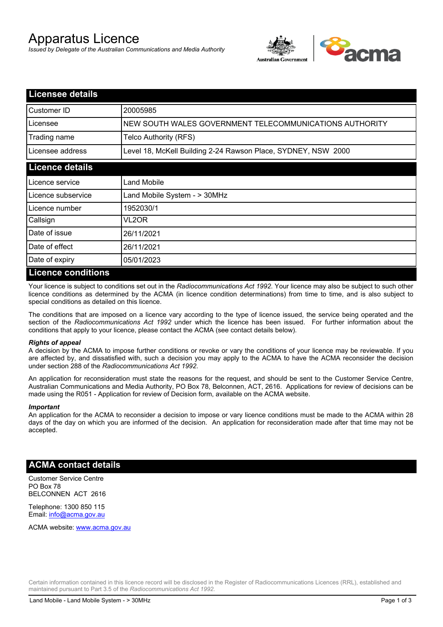# Apparatus Licence

*Issued by Delegate of the Australian Communications and Media Authority*



| <b>Licensee details</b>   |                                                               |
|---------------------------|---------------------------------------------------------------|
| Customer ID               | 20005985                                                      |
| Licensee                  | NEW SOUTH WALES GOVERNMENT TELECOMMUNICATIONS AUTHORITY       |
| Trading name              | Telco Authority (RFS)                                         |
| Licensee address          | Level 18, McKell Building 2-24 Rawson Place, SYDNEY, NSW 2000 |
| <b>Licence details</b>    |                                                               |
| Licence service           | Land Mobile                                                   |
| l Licence subservice      | Land Mobile System - > 30MHz                                  |
| Licence number            | 1952030/1                                                     |
| Callsign                  | VL2OR                                                         |
| Date of issue             | 26/11/2021                                                    |
| Date of effect            | 26/11/2021                                                    |
| Date of expiry            | 05/01/2023                                                    |
| <b>Licence conditions</b> |                                                               |

Your licence is subject to conditions set out in the *Radiocommunications Act 1992*. Your licence may also be subject to such other licence conditions as determined by the ACMA (in licence condition determinations) from time to time, and is also subject to special conditions as detailed on this licence.

The conditions that are imposed on a licence vary according to the type of licence issued, the service being operated and the section of the *Radiocommunications Act 1992* under which the licence has been issued. For further information about the conditions that apply to your licence, please contact the ACMA (see contact details below).

#### *Rights of appeal*

A decision by the ACMA to impose further conditions or revoke or vary the conditions of your licence may be reviewable. If you are affected by, and dissatisfied with, such a decision you may apply to the ACMA to have the ACMA reconsider the decision under section 288 of the *Radiocommunications Act 1992*.

An application for reconsideration must state the reasons for the request, and should be sent to the Customer Service Centre, Australian Communications and Media Authority, PO Box 78, Belconnen, ACT, 2616. Applications for review of decisions can be made using the R051 - Application for review of Decision form, available on the ACMA website.

#### *Important*

An application for the ACMA to reconsider a decision to impose or vary licence conditions must be made to the ACMA within 28 days of the day on which you are informed of the decision. An application for reconsideration made after that time may not be accepted.

### **ACMA contact details**

Customer Service Centre PO Box 78 BELCONNEN ACT 2616

Telephone: 1300 850 115 Email: info@acma.gov.au

ACMA website: www.acma.gov.au

Certain information contained in this licence record will be disclosed in the Register of Radiocommunications Licences (RRL), established and maintained pursuant to Part 3.5 of the *Radiocommunications Act 1992.*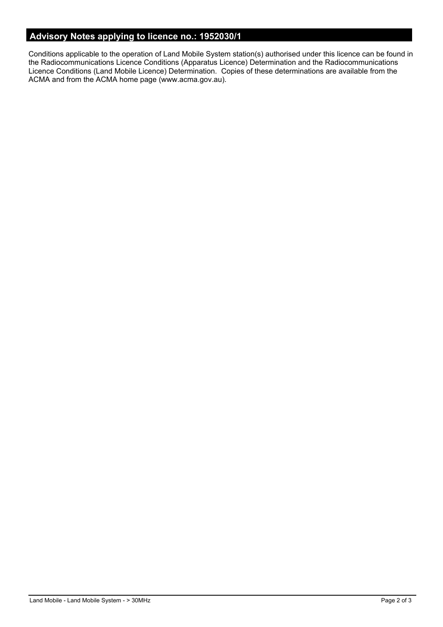# **Advisory Notes applying to licence no.: 1952030/1**

Conditions applicable to the operation of Land Mobile System station(s) authorised under this licence can be found in the Radiocommunications Licence Conditions (Apparatus Licence) Determination and the Radiocommunications Licence Conditions (Land Mobile Licence) Determination. Copies of these determinations are available from the ACMA and from the ACMA home page (www.acma.gov.au).